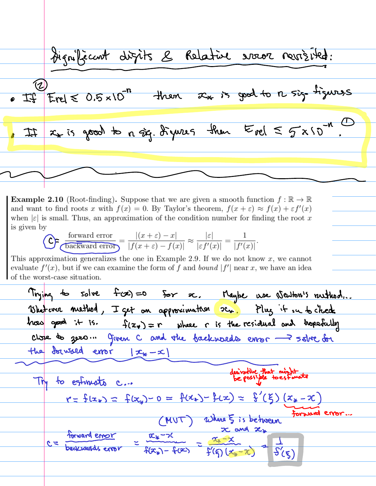significant digits & Relative vous revisited: Erel  $\leq 0.5 \times 10^{-n}$  then  $x_{*}$  is good to n sig tigures  $x_{*}$  is good to a  $\dot{x}_{1}$ . digues then  $E_{rel} \leq \frac{1}{2} \times 10^{-10}$ .  $\ddot{\mathcal{I}}$ 

**Example 2.10** (Root-finding). Suppose that we are given a smooth function  $f : \mathbb{R} \to \mathbb{R}$ and want to find roots x with  $f(x) = 0$ . By Taylor's theorem,  $f(x + \varepsilon) \approx f(x) + \varepsilon f'(x)$ when |c| is small. Thus, an approximation of the condition number for finding the root x is given by

$$
\text{C}_{\text{P}}\frac{\text{forward error}}{\text{backward error}} = \frac{|(x+\varepsilon) - x|}{|f(x+\varepsilon) - f(x)|} \approx \frac{|\varepsilon|}{|\varepsilon f'(x)|} = \frac{1}{|f'(x)|}
$$

This approximation generalizes the one in Example 2.9. If we do not know  $x$ , we cannot evaluate  $f'(x)$ , but if we can examine the form of f and bound  $|f'|$  near x, we have an idea of the worst-case situation.

Trying to solve fact = 50 for ac. Maybe use Neuton's ruthod...<br>Blatever method, I get on approximation sin. Plug it in to check how good it is.  $f(x_*) = r$  where r is the residual and hopefully the forward error  $|\mathbf{x}_{*}-x|$ derivative that might Try to estimate c...  $r = f(x_*) = f(x_*) - 0 = f(x_*) - f(x) = f'(5)(x_* - x)$ (MUT) Where 5 is between forward error... forward error =  $\frac{x_*-x}{f(x_*)-f(x)} = \frac{x_*-x}{f'(f)(x_*-x)} = \frac{1}{f'(g)}$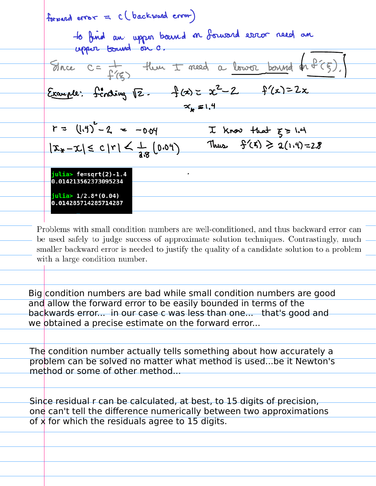forward error = c (backward error) to find an upper bound on fourard error need an Since C= f(g) then I meed a lower bound on  $f(\xi)$ .<br>Example: fonding 12. f(x) = x<sup>2</sup>-2 f(x) = 2x  $x_{\epsilon} = 1.4$  $r = (1.4)^2 - 2 = -0.04$  I know that  $\xi > 1.4$ <br> $|\mathfrak{X}_* - \mathfrak{X}| \le c |r| \le \frac{1}{18} (0.04)$  Thus  $\frac{6}{5}(5) \ge a(1.4) = 2.8$  $j$ ulia> fe=sqrt $(2) - 1.4$  $\bullet$ 0.014213562373095234  $j$ ulia>  $1/2.8*(0.04)$ 0.014285714285714287 Problems with small condition numbers are well-conditioned, and thus backward error can be used safely to judge success of approximate solution techniques. Contrastingly, much smaller backward error is needed to justify the quality of a candidate solution to a problem with a large condition number. Big condition numbers are bad while small condition numbers are good and allow the forward error to be easily bounded in terms of the backwards error... in our case c was less than one... that's good and we obtained a precise estimate on the forward error...

The condition number actually tells something about how accurately a problem can be solved no matter what method is used...be it Newton's method or some of other method...

Since residual r can be calculated, at best, to 15 digits of precision, one can't tell the difference numerically between two approximations of x for which the residuals agree to 15 digits.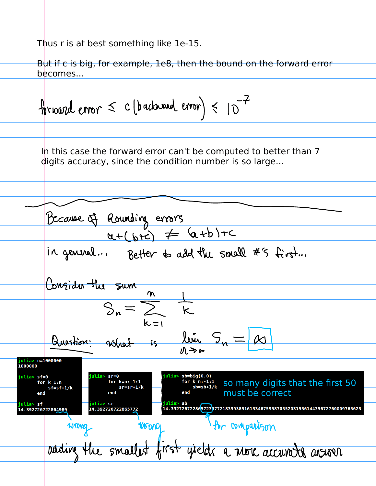Thus r is at best something like 1e-15.

But if c is big, for example, 1e8, then the bound on the forward error becomes...

forward error  $\leq$  c (backward error)  $\leq$  10<sup>-7</sup> In this case the forward error can't be computed to better than 7 digits accuracy, since the condition number is so large...Because of Rounding errors<br>a+ (b+c) = (a+b)+c in general... Better to add the small #5 first... Confider the sum  $\boldsymbol{\mathsf{m}}$  $k = 1$  $\frac{1}{15}$  lim  $S_n =$ Question: What ulia> n=1000000 1000000  $sb=big(0.0)$ julia> sf=0  $rac{k=n:-1:1}{sb=sb+1/k}$  so many digits that the first 50 for  $k=n:-1:1$ for  $k=n:-1:1$ for  $k=1:n$  $sr = sr + 1/k$  $sf=sf+1/k$ must be correct ulia> sb iulia> sr iulia> sf 14.3927267228d57236772183993851615346759587055203155614435672760009765625 14.392726722865772 14.392726722864989 Ar comparison WOOD Wrong adding the smallest first yields a nove accurate answer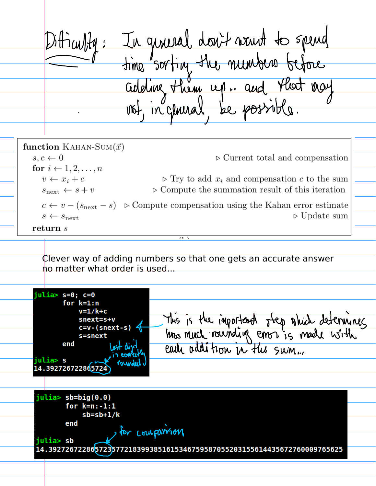Difficulty: In guneral don't want to spend<br>time sorting the numbers before<br>adding them up. and that may function KAHAN-SUM $(\vec{x})$  $s, c \leftarrow 0$  $\triangleright$  Current total and compensation for  $i \leftarrow 1, 2, \ldots, n$  $v \leftarrow x_i + c$  $\triangleright$  Try to add  $x_i$  and compensation c to the sum  $\triangleright$  Compute the summation result of this iteration  $s_{\text{next}} \leftarrow s + v$  $c \leftarrow v - (s_{\text{next}} - s)$   $\triangleright$  Compute compensation using the Kahan error estimate  $\triangleright$  Update sum  $s \leftarrow s_{\text{next}}$  $return s$  $(1)$ Clever way of adding numbers so that one gets an accurate answer no matter what order is used...julia>  $s=0$ ;  $c=0$ for  $k=1:n$  $v=1/k+c$ This is the important step which determines<br>have much rounding error is made with snext=s+v  $c=v-(snext-s)$ s=snext end julia> s 14.392726722865724  $jultia > sb = big(0.0)$ for  $k=n:-1:1$  $sb = sb + 1/k$ end for coulparison julia> sb 14.3927267228657236772183993851615346759587055203155614435672760009765625